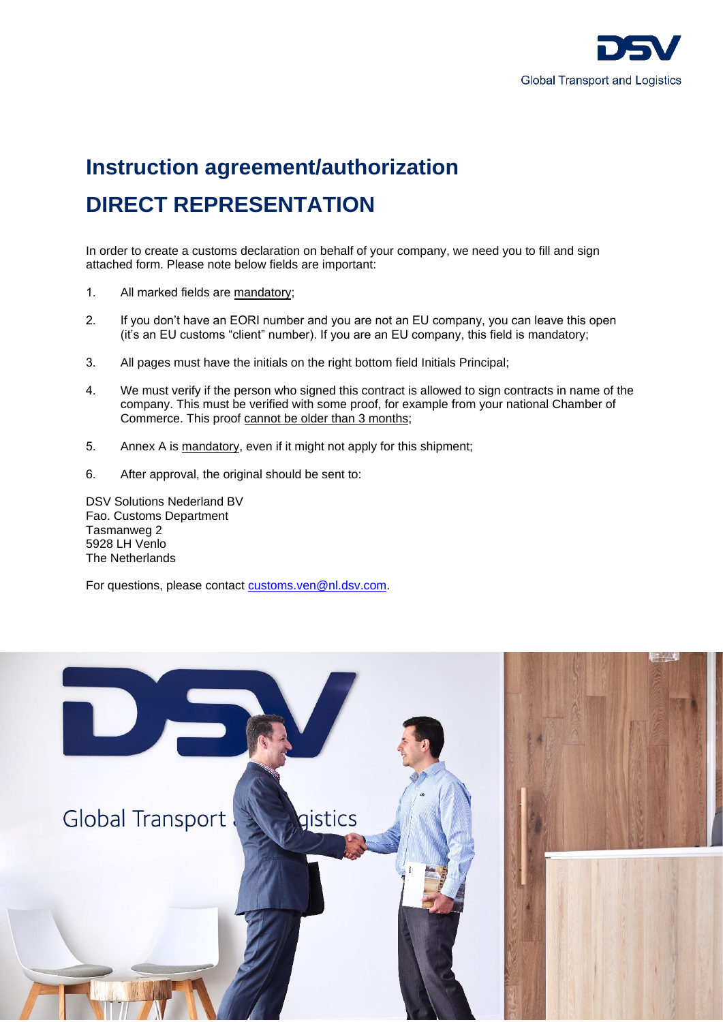

# **Instruction agreement/authorization DIRECT REPRESENTATION**

In order to create a customs declaration on behalf of your company, we need you to fill and sign attached form. Please note below fields are important:

- 1. All marked fields are mandatory;
- 2. If you don't have an EORI number and you are not an EU company, you can leave this open (it's an EU customs "client" number). If you are an EU company, this field is mandatory;
- 3. All pages must have the initials on the right bottom field Initials Principal;
- 4. We must verify if the person who signed this contract is allowed to sign contracts in name of the company. This must be verified with some proof, for example from your national Chamber of Commerce. This proof cannot be older than 3 months;
- 5. Annex A is mandatory, even if it might not apply for this shipment;
- 6. After approval, the original should be sent to:

DSV Solutions Nederland BV Fao. Customs Department Tasmanweg 2 5928 LH Venlo The Netherlands

For questions, please contact [customs.ven@nl.dsv.com.](mailto:customs.ven@nl.dsv.com)

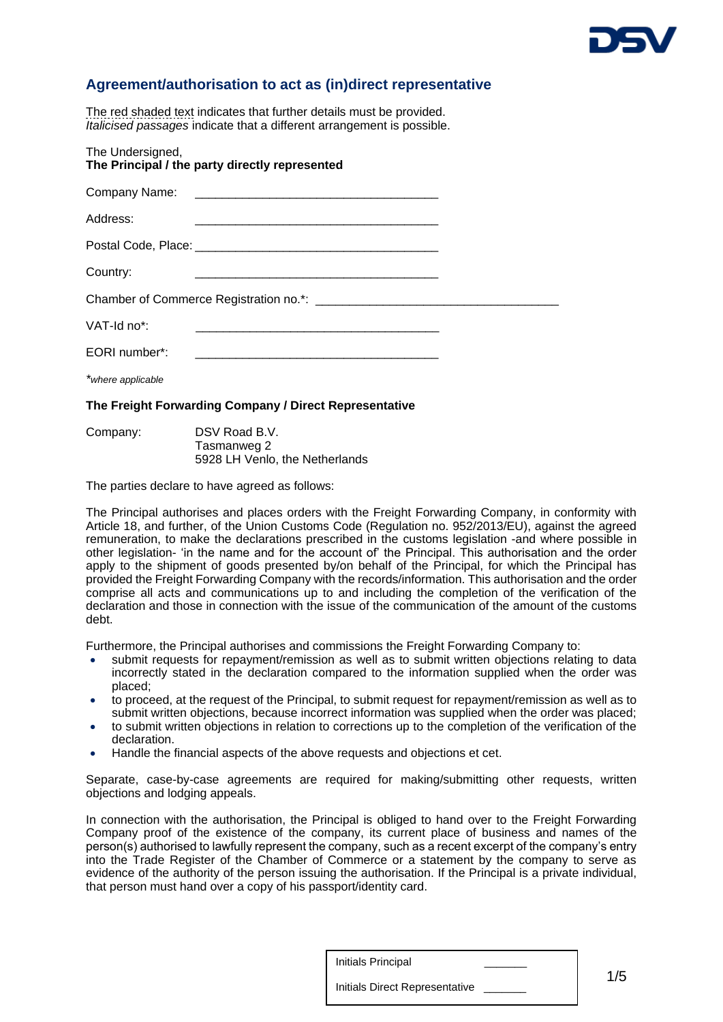

# **Agreement/authorisation to act as (in)direct representative**

The red shaded text indicates that further details must be provided. *Italicised passages* indicate that a different arrangement is possible.

| The Undersigned,<br>The Principal / the party directly represented |                                                                                                                      |  |
|--------------------------------------------------------------------|----------------------------------------------------------------------------------------------------------------------|--|
|                                                                    |                                                                                                                      |  |
| Address:                                                           | <u> 1980 - Johann Barbara, martxa alemaniar argumento de la contrada de la contrada de la contrada de la contrad</u> |  |
|                                                                    |                                                                                                                      |  |
| Country:                                                           | <u> 1980 - Johann Barbara, martxa alemaniar argumento este alemaniar alemaniar alemaniar alemaniar alemaniar al</u>  |  |
|                                                                    |                                                                                                                      |  |
| $VAT-Id$ no*:                                                      |                                                                                                                      |  |
| EORI number*:                                                      |                                                                                                                      |  |
| *where applicable                                                  |                                                                                                                      |  |
|                                                                    |                                                                                                                      |  |

## **The Freight Forwarding Company / Direct Representative**

Company: DSV Road B.V. Tasmanweg 2 5928 LH Venlo, the Netherlands

The parties declare to have agreed as follows:

The Principal authorises and places orders with the Freight Forwarding Company, in conformity with Article 18, and further, of the Union Customs Code (Regulation no. 952/2013/EU), against the agreed remuneration, to make the declarations prescribed in the customs legislation -and where possible in other legislation- 'in the name and for the account of' the Principal. This authorisation and the order apply to the shipment of goods presented by/on behalf of the Principal, for which the Principal has provided the Freight Forwarding Company with the records/information. This authorisation and the order comprise all acts and communications up to and including the completion of the verification of the declaration and those in connection with the issue of the communication of the amount of the customs debt.

Furthermore, the Principal authorises and commissions the Freight Forwarding Company to:

- submit requests for repayment/remission as well as to submit written objections relating to data incorrectly stated in the declaration compared to the information supplied when the order was placed;
- to proceed, at the request of the Principal, to submit request for repayment/remission as well as to submit written objections, because incorrect information was supplied when the order was placed;
- to submit written objections in relation to corrections up to the completion of the verification of the declaration.
- Handle the financial aspects of the above requests and objections et cet.

Separate, case-by-case agreements are required for making/submitting other requests, written objections and lodging appeals.

In connection with the authorisation, the Principal is obliged to hand over to the Freight Forwarding Company proof of the existence of the company, its current place of business and names of the person(s) authorised to lawfully represent the company, such as a recent excerpt of the company's entry into the Trade Register of the Chamber of Commerce or a statement by the company to serve as evidence of the authority of the person issuing the authorisation. If the Principal is a private individual, that person must hand over a copy of his passport/identity card.

Initials Principal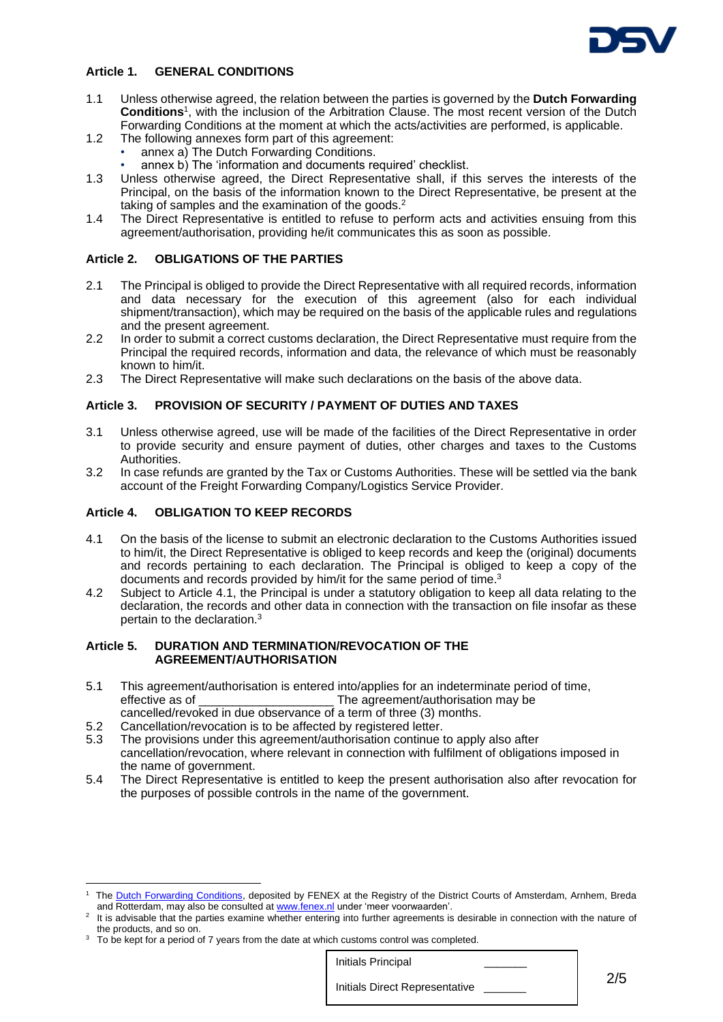

## **Article 1. GENERAL CONDITIONS**

- 1.1 Unless otherwise agreed, the relation between the parties is governed by the **Dutch Forwarding Conditions**<sup>1</sup> , with the inclusion of the Arbitration Clause. The most recent version of the Dutch Forwarding Conditions at the moment at which the acts/activities are performed, is applicable.
- 1.2 The following annexes form part of this agreement:
	- annex a) The Dutch Forwarding Conditions.
	- annex b) The 'information and documents required' checklist.
- 1.3 Unless otherwise agreed, the Direct Representative shall, if this serves the interests of the Principal, on the basis of the information known to the Direct Representative, be present at the taking of samples and the examination of the goods.<sup>2</sup>
- 1.4 The Direct Representative is entitled to refuse to perform acts and activities ensuing from this agreement/authorisation, providing he/it communicates this as soon as possible.

## **Article 2. OBLIGATIONS OF THE PARTIES**

- 2.1 The Principal is obliged to provide the Direct Representative with all required records, information and data necessary for the execution of this agreement (also for each individual shipment/transaction), which may be required on the basis of the applicable rules and regulations and the present agreement.
- 2.2 In order to submit a correct customs declaration, the Direct Representative must require from the Principal the required records, information and data, the relevance of which must be reasonably known to him/it.
- 2.3 The Direct Representative will make such declarations on the basis of the above data.

## **Article 3. PROVISION OF SECURITY / PAYMENT OF DUTIES AND TAXES**

- 3.1 Unless otherwise agreed, use will be made of the facilities of the Direct Representative in order to provide security and ensure payment of duties, other charges and taxes to the Customs Authorities.
- 3.2 In case refunds are granted by the Tax or Customs Authorities. These will be settled via the bank account of the Freight Forwarding Company/Logistics Service Provider.

## **Article 4. OBLIGATION TO KEEP RECORDS**

1

- 4.1 On the basis of the license to submit an electronic declaration to the Customs Authorities issued to him/it, the Direct Representative is obliged to keep records and keep the (original) documents and records pertaining to each declaration. The Principal is obliged to keep a copy of the documents and records provided by him/it for the same period of time.<sup>3</sup>
- 4.2 Subject to Article 4.1, the Principal is under a statutory obligation to keep all data relating to the declaration, the records and other data in connection with the transaction on file insofar as these pertain to the declaration.<sup>3</sup>

#### **Article 5. DURATION AND TERMINATION/REVOCATION OF THE AGREEMENT/AUTHORISATION**

- 5.1 This agreement/authorisation is entered into/applies for an indeterminate period of time,<br>effective as of The agreement/authorisation may be The agreement/authorisation may be cancelled/revoked in due observance of a term of three (3) months.
- 5.2 Cancellation/revocation is to be affected by registered letter.
- 5.3 The provisions under this agreement/authorisation continue to apply also after cancellation/revocation, where relevant in connection with fulfilment of obligations imposed in the name of government.
- 5.4 The Direct Representative is entitled to keep the present authorisation also after revocation for the purposes of possible controls in the name of the government.

Initials Principal

<sup>1</sup> The [Dutch Forwarding Conditions,](http://www.fenex.nl/Documents/Nederlandse%20Expeditievoorwaarden%20%28Engels%2c%201%20juli%202004%29.pdf) deposited by FENEX at the Registry of the District Courts of Amsterdam, Arnhem, Breda and Rotterdam, may also be consulted at [www.fenex.nl](http://www.fenex.nl/) under 'meer voorwaarden'.

<sup>2</sup> It is advisable that the parties examine whether entering into further agreements is desirable in connection with the nature of the products, and so on.

 $3$  To be kept for a period of 7 years from the date at which customs control was completed.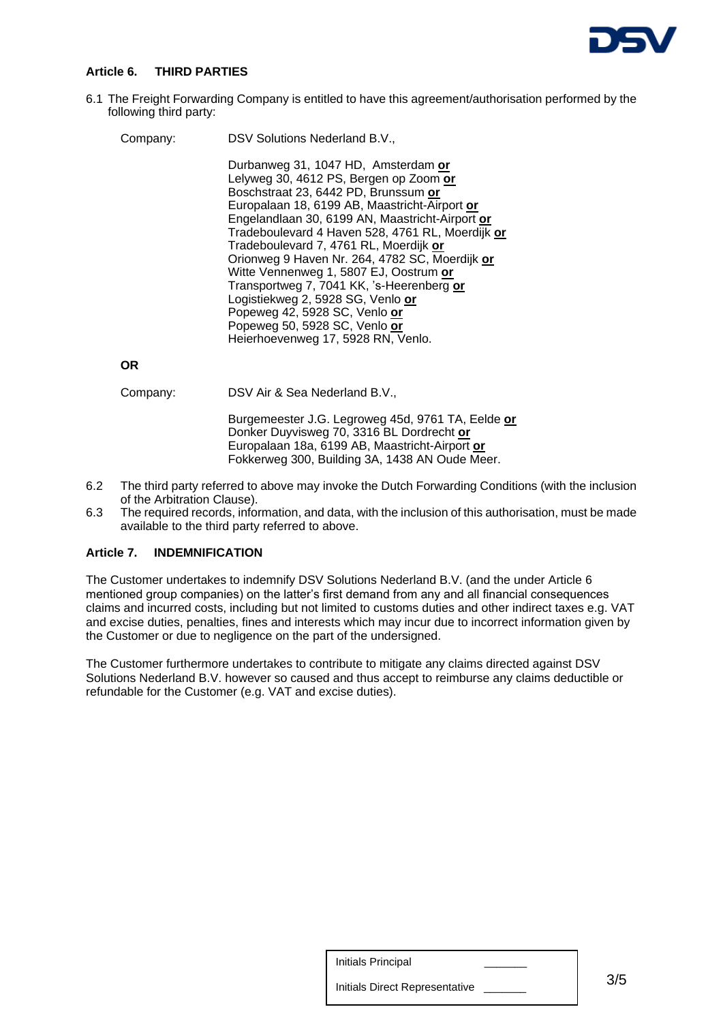

## **Article 6. THIRD PARTIES**

6.1 The Freight Forwarding Company is entitled to have this agreement/authorisation performed by the following third party:

| Company: | DSV Solutions Nederland B.V.,                    |
|----------|--------------------------------------------------|
|          | Durbanweg 31, 1047 HD, Amsterdam or              |
|          | Lelyweg 30, 4612 PS, Bergen op Zoom or           |
|          | Boschstraat 23, 6442 PD, Brunssum or             |
|          | Europalaan 18, 6199 AB, Maastricht-Airport or    |
|          | Engelandlaan 30, 6199 AN, Maastricht-Airport or  |
|          | Tradeboulevard 4 Haven 528, 4761 RL, Moerdijk or |
|          | Tradeboulevard 7, 4761 RL, Moerdijk or           |
|          | Orionweg 9 Haven Nr. 264, 4782 SC, Moerdijk or   |
|          | Witte Vennenweg 1, 5807 EJ, Oostrum or           |
|          | Transportweg 7, 7041 KK, 's-Heerenberg or        |
|          | Logistiekweg 2, 5928 SG, Venlo or                |
|          | Popeweg 42, 5928 SC, Venlo or                    |
|          | Popeweg 50, 5928 SC, Venlo or                    |
|          | Heierhoevenweg 17, 5928 RN, Venlo.               |

**OR**

Company: DSV Air & Sea Nederland B.V.,

Burgemeester J.G. Legroweg 45d, 9761 TA, Eelde **or** Donker Duyvisweg 70, 3316 BL Dordrecht **or** Europalaan 18a, 6199 AB, Maastricht-Airport **or** Fokkerweg 300, Building 3A, 1438 AN Oude Meer.

- 6.2 The third party referred to above may invoke the Dutch Forwarding Conditions (with the inclusion of the Arbitration Clause).
- 6.3 The required records, information, and data, with the inclusion of this authorisation, must be made available to the third party referred to above.

## **Article 7. INDEMNIFICATION**

The Customer undertakes to indemnify DSV Solutions Nederland B.V. (and the under Article 6 mentioned group companies) on the latter's first demand from any and all financial consequences claims and incurred costs, including but not limited to customs duties and other indirect taxes e.g. VAT and excise duties, penalties, fines and interests which may incur due to incorrect information given by the Customer or due to negligence on the part of the undersigned.

The Customer furthermore undertakes to contribute to mitigate any claims directed against DSV Solutions Nederland B.V. however so caused and thus accept to reimburse any claims deductible or refundable for the Customer (e.g. VAT and excise duties).

Initials Principal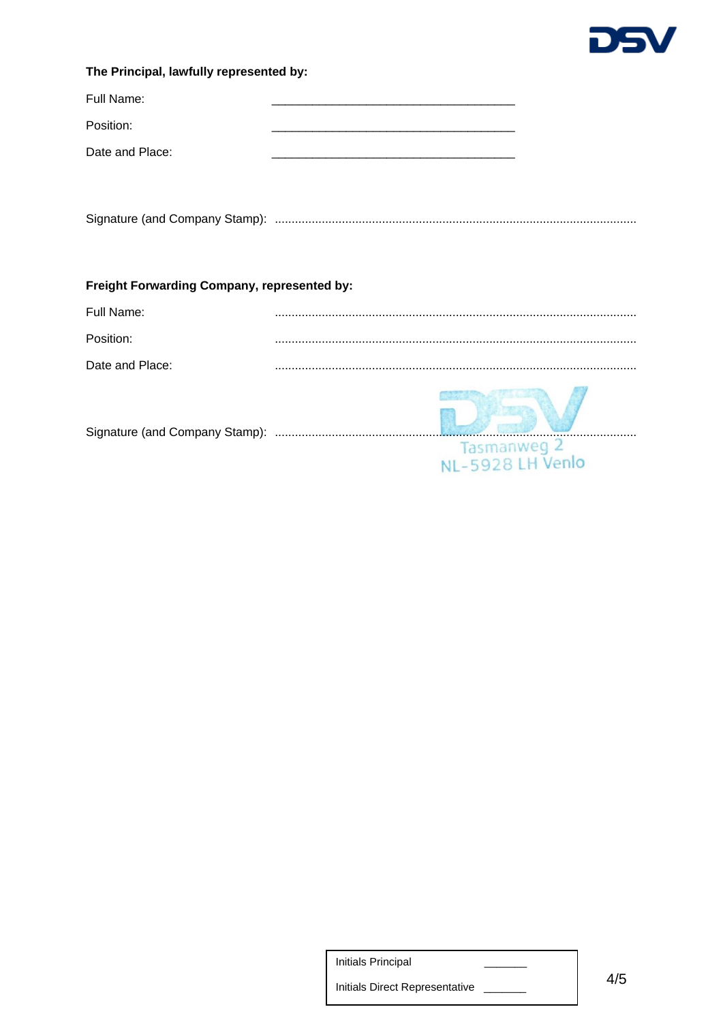

## The Principal, lawfully represented by:

| Full Name:      |  |
|-----------------|--|
| Position:       |  |
| Date and Place: |  |

# Freight Forwarding Company, represented by:

| Full Name:                     |                                 |
|--------------------------------|---------------------------------|
| Position:                      |                                 |
| Date and Place:                |                                 |
| Signature (and Company Stamp): | Tasmanweg 2<br>NL-5928 LH Venlo |

**Initials Principal**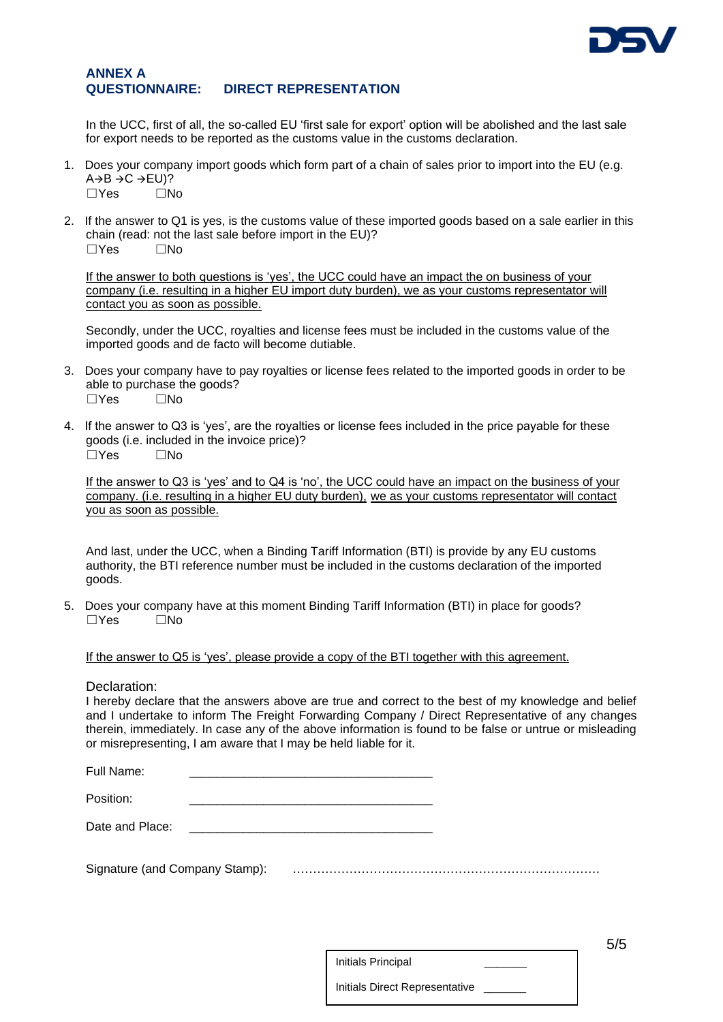

## **ANNEX A QUESTIONNAIRE: DIRECT REPRESENTATION**

In the UCC, first of all, the so-called EU 'first sale for export' option will be abolished and the last sale for export needs to be reported as the customs value in the customs declaration.

- 1. Does your company import goods which form part of a chain of sales prior to import into the EU (e.g.  $A \rightarrow B \rightarrow C \rightarrow EU$ )?  $\Box$ Yes  $\Box$ No
- 2. If the answer to Q1 is yes, is the customs value of these imported goods based on a sale earlier in this chain (read: not the last sale before import in the EU)?  $\Box$ Yes  $\Box$ No

If the answer to both questions is 'yes', the UCC could have an impact the on business of your company (i.e. resulting in a higher EU import duty burden), we as your customs representator will contact you as soon as possible.

Secondly, under the UCC, royalties and license fees must be included in the customs value of the imported goods and de facto will become dutiable.

- 3. Does your company have to pay royalties or license fees related to the imported goods in order to be able to purchase the goods?  $\Box$ Yes  $\Box$ No
- 4. If the answer to Q3 is 'yes', are the royalties or license fees included in the price payable for these goods (i.e. included in the invoice price)? ☐Yes ☐No

If the answer to Q3 is 'yes' and to Q4 is 'no', the UCC could have an impact on the business of your company. (i.e. resulting in a higher EU duty burden), we as your customs representator will contact you as soon as possible.

And last, under the UCC, when a Binding Tariff Information (BTI) is provide by any EU customs authority, the BTI reference number must be included in the customs declaration of the imported goods.

5. Does your company have at this moment Binding Tariff Information (BTI) in place for goods?  $\Box$ Yes  $\Box$ No

If the answer to Q5 is 'yes', please provide a copy of the BTI together with this agreement.

Declaration:

I hereby declare that the answers above are true and correct to the best of my knowledge and belief and I undertake to inform The Freight Forwarding Company / Direct Representative of any changes therein, immediately. In case any of the above information is found to be false or untrue or misleading or misrepresenting, I am aware that I may be held liable for it.

| Full Name: |  |
|------------|--|
|            |  |

Position:

Date and Place:

Signature (and Company Stamp): ………………………………………………………………….

Initials Principal

5/5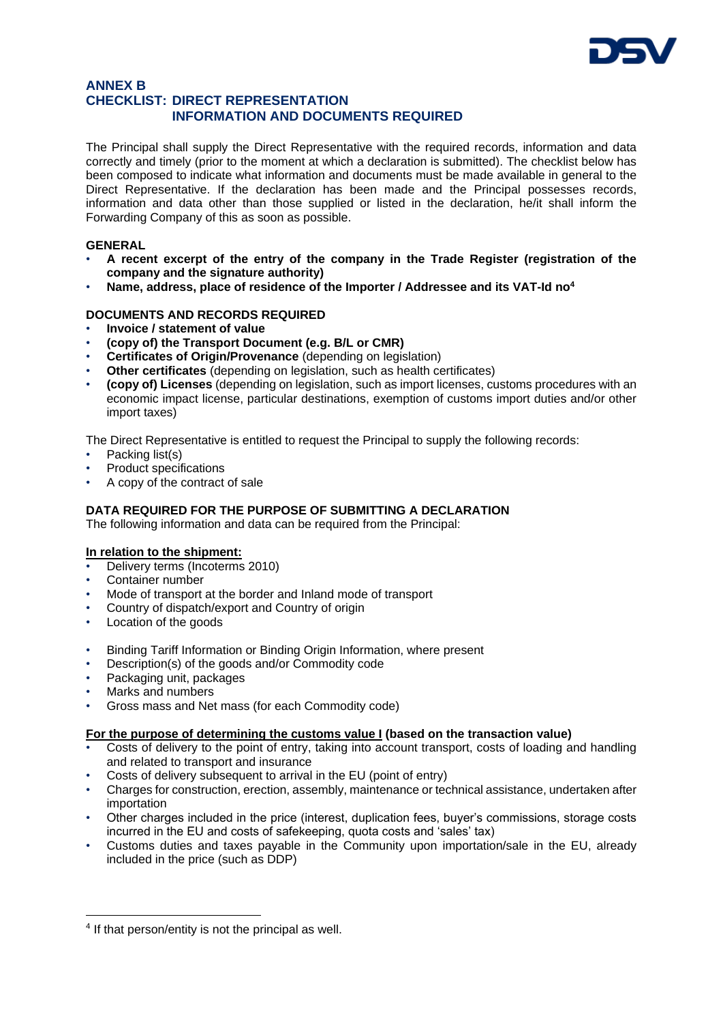

## **ANNEX B CHECKLIST: DIRECT REPRESENTATION INFORMATION AND DOCUMENTS REQUIRED**

The Principal shall supply the Direct Representative with the required records, information and data correctly and timely (prior to the moment at which a declaration is submitted). The checklist below has been composed to indicate what information and documents must be made available in general to the Direct Representative. If the declaration has been made and the Principal possesses records, information and data other than those supplied or listed in the declaration, he/it shall inform the Forwarding Company of this as soon as possible.

## **GENERAL**

- **A recent excerpt of the entry of the company in the Trade Register (registration of the company and the signature authority)**
- **Name, address, place of residence of the Importer / Addressee and its VAT-Id no<sup>4</sup>**

## **DOCUMENTS AND RECORDS REQUIRED**

- **Invoice / statement of value**
- **(copy of) the Transport Document (e.g. B/L or CMR)**
- **Certificates of Origin/Provenance** (depending on legislation)
- **Other certificates** (depending on legislation, such as health certificates)
- **(copy of) Licenses** (depending on legislation, such as import licenses, customs procedures with an economic impact license, particular destinations, exemption of customs import duties and/or other import taxes)

The Direct Representative is entitled to request the Principal to supply the following records:

- Packing list(s)
- Product specifications
- A copy of the contract of sale

## **DATA REQUIRED FOR THE PURPOSE OF SUBMITTING A DECLARATION**

The following information and data can be required from the Principal:

## **In relation to the shipment:**

- Delivery terms (Incoterms 2010)
- Container number
- Mode of transport at the border and Inland mode of transport
- Country of dispatch/export and Country of origin
- Location of the goods
- Binding Tariff Information or Binding Origin Information, where present
- Description(s) of the goods and/or Commodity code
- Packaging unit, packages
- Marks and numbers

1

• Gross mass and Net mass (for each Commodity code)

## **For the purpose of determining the customs value I (based on the transaction value)**

- Costs of delivery to the point of entry, taking into account transport, costs of loading and handling and related to transport and insurance
- Costs of delivery subsequent to arrival in the EU (point of entry)
- Charges for construction, erection, assembly, maintenance or technical assistance, undertaken after importation
- Other charges included in the price (interest, duplication fees, buyer's commissions, storage costs incurred in the EU and costs of safekeeping, quota costs and 'sales' tax)
- Customs duties and taxes payable in the Community upon importation/sale in the EU, already included in the price (such as DDP)

<sup>&</sup>lt;sup>4</sup> If that person/entity is not the principal as well.